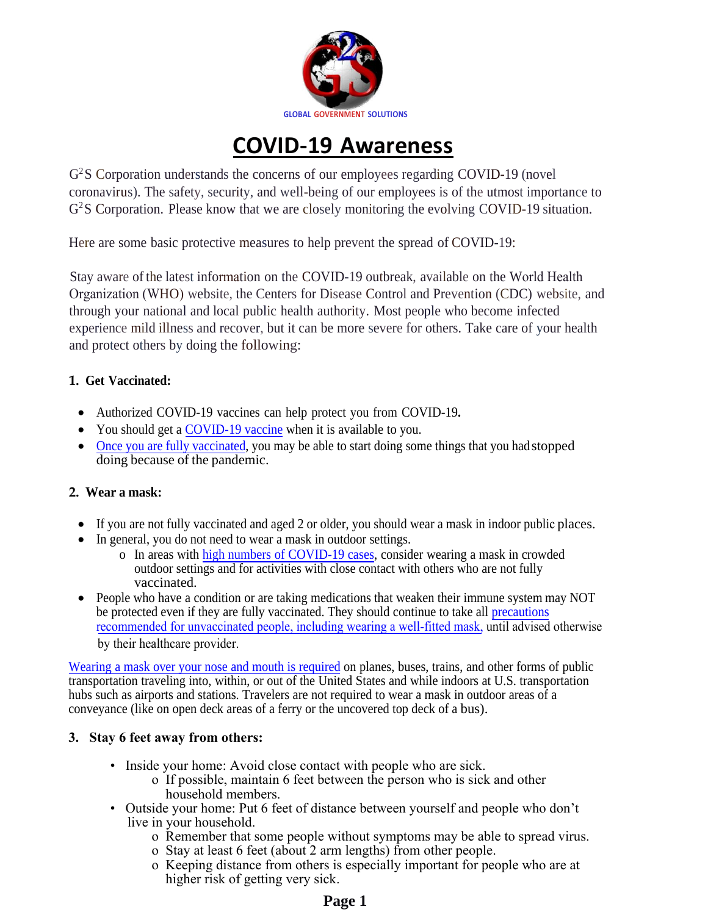

# **COVID-19 Awareness**

G<sup>2</sup>S Corporation understands the concerns of our employees regarding COVID-19 (novel coronavirus). The safety, security, and well-being of our employees is of the utmost importance to G<sup>2</sup>S Corporation. Please know that we are closely monitoring the evolving COVID-19 situation.

Here are some basic protective measures to help prevent the spread of COVID-19:

Stay aware of the latest information on the COVID-19 outbreak, available on the World Health Organization (WHO) website, the Centers for Disease Control and Prevention (CDC) website, and through your national and local public health authority. Most people who become infected experience mild illness and recover, but it can be more severe for others. Take care of your health and protect others by doing the following:

# **1. Get Vaccinated:**

- Authorized COVID-19 vaccines can help protect you from COVID-19**.**
- You should get a [COVID-19 vaccine](https://www.cdc.gov/coronavirus/2019-ncov/vaccines/index.html) when it is available to you.
- Once you are fully vaccinated, you may be able to start doing some things that you had stopped [doing because of the pandem](https://www.cdc.gov/coronavirus/2019-ncov/vaccines/fully-vaccinated.html)ic.

## **2. Wear a mask:**

- If you are not fully vaccinated and aged 2 or older, you should wear a mask in indoor public places.
- In general, you do not need to wear a mask in outdoor settings.
	- o In areas with [high numbers of COVID-19 cases,](https://covid.cdc.gov/covid-data-tracker/#county-view) consider wearing a mask in crowded outdoor settings and for activities with close contact with others who are not fully vaccinated.
- People who have a condition or are taking medications that weaken their immune system may NOT be protected even if they are fully vaccinated. They should continue to take all precautions [recommended for unvaccinated people, including wearing a well-fitted mask,](https://www.cdc.gov/coronavirus/2019-ncov/prevent-getting-sick/prevention.html) [until advised otherwise](https://www.cdc.gov/coronavirus/2019-ncov/prevent-getting-sick/prevention.html) by their healthcare provider.

Wearing a mask [over your nose and](https://www.cdc.gov/coronavirus/2019-ncov/travelers/face-masks-public-transportation.html) mouth is required on planes, buses, trains, and other forms of public transportation traveling into, within, or out of the United States and while indoors at U.S. transportation hubs such as airports and stations. Travelers are not required to wear a mask in outdoor areas of a conveyance (like on open deck areas of a ferry or the uncovered top deck of a bus).

# **3. Stay 6 feet away from others:**

- Inside your home: Avoid close contact with people who are sick.
	- o If possible, maintain 6 feet between the person who is sick and other household members.
- Outside your home: Put 6 feet of distance between yourself and people who don't live in your household.
	- o Remember that some people without symptoms may be able to spread virus.
	- o Stay at least 6 feet (about 2 arm lengths) from other people.
	- o Keeping distance from others is especially important for people who are at higher risk of getting very sick.

# **Page 1**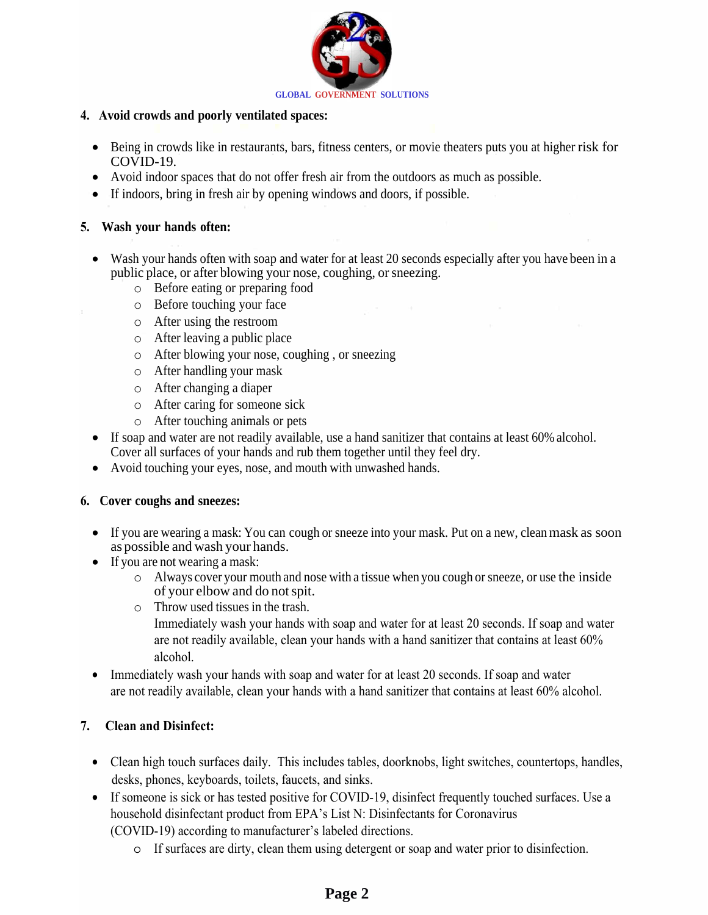

#### **4. Avoid crowds and poorly ventilated spaces:**

- Being in crowds like in restaurants, bars, fitness centers, or movie theaters puts you at higher risk for COVID-19.
- Avoid indoor spaces that do not offer fresh air from the outdoors as much as possible.
- If indoors, bring in fresh air by opening windows and doors, if possible.

#### **5. Wash your [hands](https://www.cdc.gov/coronavirus/2019-ncov/prevent-getting-sick/prevention.html#stay6ft%20) often:**

- Wash [your hands often with](https://www.cdc.gov/coronavirus/2019-ncov/need-extra-precautions/people-at-increased-risk.html) soap and water for at least 20 seconds especially after [you have been in](https://www.cdc.gov/coronavirus/2019-ncov/need-extra-precautions/people-at-increased-risk.html) a public place, or after blowing your nose, coughing, or sneezing.
	- o Before eating or preparing food
	- o Before touching your face
	- o After using the restroom
	- o After leaving a public place
	- o After blowing your nose, coughing , or sneezing
	- o After handling your mask
	- o After changing a diaper
	- o After caring for someone sick
	- o After touching animals or pets
- If soap and water are not readily available, use a hand sanitizer that contains at least 60% alcohol. Cover all surfaces of your hands and rub them together until they feel dry.
- Avoid touching your eyes, nose, and mouth with unwashed hands.

#### **6. Cover coughs and sneezes:**

- If you are wearing a mask: You can cough or sneeze into your mask. Put on a new, clean mask as soon as possible and wash your hands.
- If you are not wearing a mask:
	- o Always cover your mouth and nose with a tissue when you cough or sneeze, or use the inside of your elbow and do not spit.
	- o Throw used tissues in the trash. Immediately wash your hands with soap and water for at least 20 seconds. If soap and water are not readily available, clean your hands with a hand sanitizer that contains at least 60% alcohol.
- Immediately wash your hands with soap and water for at least 20 seconds. If soap and water are not readily available, clean your hands with a hand sanitizer that contains at least 60% alcohol.

## **7. Clean and Disinfect:**

- Clean high touch surfaces daily. This includes tables, doorknobs, light switches, countertops, handles, desks, phones, keyboards, toilets, faucets, and sinks.
- If someone is sick or has tested positive for COVID-19, disinfect frequently touched surfaces. Use a household disinfectant product from EPA's List N: Disinfectants for Coronavirus (COVID-19) according to manufacturer's labeled directions.
	- o If surfaces are dirty, clean them using detergent or soap and water prior to disinfection.